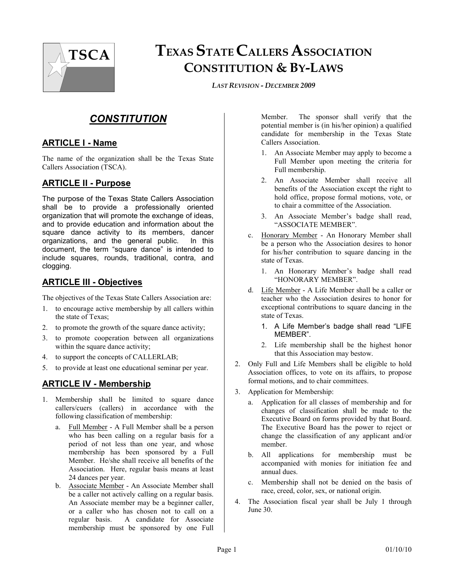

# **TEXAS STATE CALLERS ASSOCIATION CONSTITUTION & BY-LAWS**

*LAST REVISION - DECEMBER 2009*

# *CONSTITUTION*

#### **ARTICLE I - Name**

The name of the organization shall be the Texas State Callers Association (TSCA).

#### **ARTICLE II - Purpose**

The purpose of the Texas State Callers Association shall be to provide a professionally oriented organization that will promote the exchange of ideas, and to provide education and information about the square dance activity to its members, dancer organizations, and the general public. In this document, the term "square dance" is intended to include squares, rounds, traditional, contra, and clogging.

#### **ARTICLE III - Objectives**

The objectives of the Texas State Callers Association are:

- 1. to encourage active membership by all callers within the state of Texas;
- 2. to promote the growth of the square dance activity;
- 3. to promote cooperation between all organizations within the square dance activity;
- 4. to support the concepts of CALLERLAB;
- 5. to provide at least one educational seminar per year.

# **ARTICLE IV - Membership**

- 1. Membership shall be limited to square dance callers/cuers (callers) in accordance with the following classification of membership:
	- a. Full Member A Full Member shall be a person who has been calling on a regular basis for a period of not less than one year, and whose membership has been sponsored by a Full Member. He/she shall receive all benefits of the Association. Here, regular basis means at least 24 dances per year.
	- b. Associate Member An Associate Member shall be a caller not actively calling on a regular basis. An Associate member may be a beginner caller, or a caller who has chosen not to call on a regular basis. A candidate for Associate membership must be sponsored by one Full

Member. The sponsor shall verify that the potential member is (in his/her opinion) a qualified candidate for membership in the Texas State Callers Association.

- 1. An Associate Member may apply to become a Full Member upon meeting the criteria for Full membership.
- 2. An Associate Member shall receive all benefits of the Association except the right to hold office, propose formal motions, vote, or to chair a committee of the Association.
- 3. An Associate Member's badge shall read, "ASSOCIATE MEMBER".
- c. Honorary Member An Honorary Member shall be a person who the Association desires to honor for his/her contribution to square dancing in the state of Texas.
	- 1. An Honorary Member's badge shall read "HONORARY MEMBER".
- d. Life Member A Life Member shall be a caller or teacher who the Association desires to honor for exceptional contributions to square dancing in the state of Texas.
	- 1. A Life Member's badge shall read "LIFE MEMBER".
	- 2. Life membership shall be the highest honor that this Association may bestow.
- 2. Only Full and Life Members shall be eligible to hold Association offices, to vote on its affairs, to propose formal motions, and to chair committees.
- 3. Application for Membership:
	- a. Application for all classes of membership and for changes of classification shall be made to the Executive Board on forms provided by that Board. The Executive Board has the power to reject or change the classification of any applicant and/or member.
	- b. All applications for membership must be accompanied with monies for initiation fee and annual dues.
	- c. Membership shall not be denied on the basis of race, creed, color, sex, or national origin.
- 4. The Association fiscal year shall be July 1 through June 30.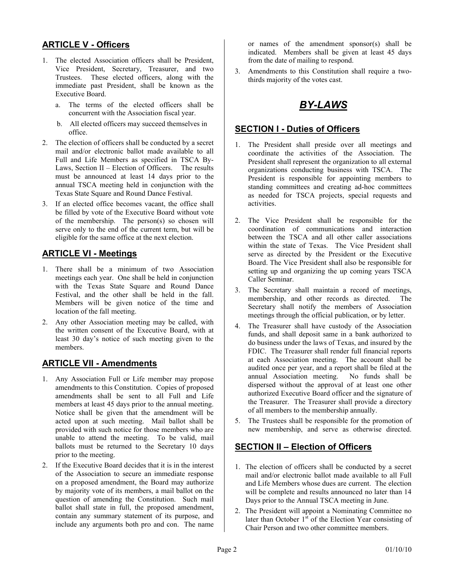#### **ARTICLE V - Officers**

- 1. The elected Association officers shall be President, Vice President, Secretary, Treasurer, and two Trustees. These elected officers, along with the immediate past President, shall be known as the Executive Board.
	- a. The terms of the elected officers shall be concurrent with the Association fiscal year.
	- b. All elected officers may succeed themselves in office.
- 2. The election of officers shall be conducted by a secret mail and/or electronic ballot made available to all Full and Life Members as specified in TSCA By-Laws, Section II – Election of Officers. The results must be announced at least 14 days prior to the annual TSCA meeting held in conjunction with the Texas State Square and Round Dance Festival.
- 3. If an elected office becomes vacant, the office shall be filled by vote of the Executive Board without vote of the membership. The person(s) so chosen will serve only to the end of the current term, but will be eligible for the same office at the next election.

#### **ARTICLE VI - Meetings**

- 1. There shall be a minimum of two Association meetings each year. One shall be held in conjunction with the Texas State Square and Round Dance Festival, and the other shall be held in the fall. Members will be given notice of the time and location of the fall meeting.
- 2. Any other Association meeting may be called, with the written consent of the Executive Board, with at least 30 day's notice of such meeting given to the members.

#### **ARTICLE VII - Amendments**

- 1. Any Association Full or Life member may propose amendments to this Constitution. Copies of proposed amendments shall be sent to all Full and Life members at least 45 days prior to the annual meeting. Notice shall be given that the amendment will be acted upon at such meeting. Mail ballot shall be provided with such notice for those members who are unable to attend the meeting. To be valid, mail ballots must be returned to the Secretary 10 days prior to the meeting.
- 2. If the Executive Board decides that it is in the interest of the Association to secure an immediate response on a proposed amendment, the Board may authorize by majority vote of its members, a mail ballot on the question of amending the Constitution. Such mail ballot shall state in full, the proposed amendment, contain any summary statement of its purpose, and include any arguments both pro and con. The name

or names of the amendment sponsor(s) shall be indicated. Members shall be given at least 45 days from the date of mailing to respond.

3. Amendments to this Constitution shall require a twothirds majority of the votes cast.

# *BY-LAWS*

#### **SECTION I - Duties of Officers**

- 1. The President shall preside over all meetings and coordinate the activities of the Association. The President shall represent the organization to all external organizations conducting business with TSCA. The President is responsible for appointing members to standing committees and creating ad-hoc committees as needed for TSCA projects, special requests and activities.
- 2. The Vice President shall be responsible for the coordination of communications and interaction between the TSCA and all other caller associations within the state of Texas. The Vice President shall serve as directed by the President or the Executive Board. The Vice President shall also be responsible for setting up and organizing the up coming years TSCA Caller Seminar.
- 3. The Secretary shall maintain a record of meetings, membership, and other records as directed. The Secretary shall notify the members of Association meetings through the official publication, or by letter.
- 4. The Treasurer shall have custody of the Association funds, and shall deposit same in a bank authorized to do business under the laws of Texas, and insured by the FDIC. The Treasurer shall render full financial reports at each Association meeting. The account shall be audited once per year, and a report shall be filed at the annual Association meeting. No funds shall be dispersed without the approval of at least one other authorized Executive Board officer and the signature of the Treasurer. The Treasurer shall provide a directory of all members to the membership annually.
- 5. The Trustees shall be responsible for the promotion of new membership, and serve as otherwise directed.

#### **SECTION II – Election of Officers**

- 1. The election of officers shall be conducted by a secret mail and/or electronic ballot made available to all Full and Life Members whose dues are current. The election will be complete and results announced no later than 14 Days prior to the Annual TSCA meeting in June.
- 2. The President will appoint a Nominating Committee no later than October  $1<sup>st</sup>$  of the Election Year consisting of Chair Person and two other committee members.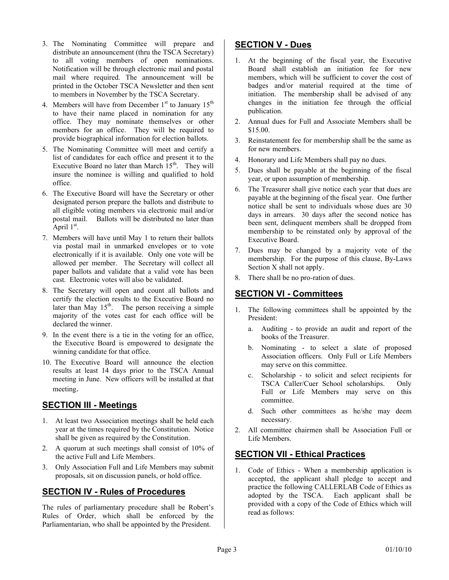- 3. The Nominating Committee will prepare and distribute an announcement (thru the TSCA Secretary) to all voting members of open nominations. Notification will be through electronic mail and postal mail where required. The announcement will be printed in the October TSCA Newsletter and then sent to members in November by the TSCA Secretary.
- 4. Members will have from December  $1<sup>st</sup>$  to January  $15<sup>th</sup>$ to have their name placed in nomination for any office. They may nominate themselves or other members for an office. They will be required to provide biographical information for election ballots.
- 5. The Nominating Committee will meet and certify a list of candidates for each office and present it to the Executive Board no later than March  $15<sup>th</sup>$ . They will insure the nominee is willing and qualified to hold office.
- 6. The Executive Board will have the Secretary or other designated person prepare the ballots and distribute to all eligible voting members via electronic mail and/or postal mail. Ballots will be distributed no later than  $A$ pril  $1<sup>st</sup>$ .
- 7. Members will have until May 1 to return their ballots via postal mail in unmarked envelopes or to vote electronically if it is available. Only one vote will be allowed per member. The Secretary will collect all paper ballots and validate that a valid vote has been cast. Electronic votes will also be validated.
- 8. The Secretary will open and count all ballots and certify the election results to the Executive Board no later than May  $15<sup>th</sup>$ . The person receiving a simple majority of the votes cast for each office will be declared the winner.
- 9. In the event there is a tie in the voting for an office, the Executive Board is empowered to designate the winning candidate for that office.
- 10. The Executive Board will announce the election results at least 14 days prior to the TSCA Annual meeting in June. New officers will be installed at that meeting.

# **SECTION III - Meetings**

- 1. At least two Association meetings shall be held each year at the times required by the Constitution. Notice shall be given as required by the Constitution.
- 2. A quorum at such meetings shall consist of 10% of the active Full and Life Members.
- 3. Only Association Full and Life Members may submit proposals, sit on discussion panels, or hold office.

# **SECTION IV - Rules of Procedures**

The rules of parliamentary procedure shall be Robert's Rules of Order, which shall be enforced by the Parliamentarian, who shall be appointed by the President.

#### **SECTION V - Dues**

- 1. At the beginning of the fiscal year, the Executive Board shall establish an initiation fee for new members, which will be sufficient to cover the cost of badges and/or material required at the time of initiation. The membership shall be advised of any changes in the initiation fee through the official publication.
- 2. Annual dues for Full and Associate Members shall be \$15.00.
- 3. Reinstatement fee for membership shall be the same as for new members.
- 4. Honorary and Life Members shall pay no dues.
- 5. Dues shall be payable at the beginning of the fiscal year, or upon assumption of membership.
- 6. The Treasurer shall give notice each year that dues are payable at the beginning of the fiscal year. One further notice shall be sent to individuals whose dues are 30 days in arrears. 30 days after the second notice has been sent, delinquent members shall be dropped from membership to be reinstated only by approval of the Executive Board.
- 7. Dues may be changed by a majority vote of the membership. For the purpose of this clause, By-Laws Section X shall not apply.
- 8. There shall be no pro-ration of dues.

# **SECTION VI - Committees**

- 1. The following committees shall be appointed by the President:
	- a. Auditing to provide an audit and report of the books of the Treasurer.
	- b. Nominating to select a slate of proposed Association officers. Only Full or Life Members may serve on this committee.
	- c. Scholarship to solicit and select recipients for TSCA Caller/Cuer School scholarships. Only Full or Life Members may serve on this committee.
	- d. Such other committees as he/she may deem necessary.
- 2. All committee chairmen shall be Association Full or Life Members.

# **SECTION VII - Ethical Practices**

1. Code of Ethics - When a membership application is accepted, the applicant shall pledge to accept and practice the following CALLERLAB Code of Ethics as adopted by the TSCA. Each applicant shall be provided with a copy of the Code of Ethics which will read as follows: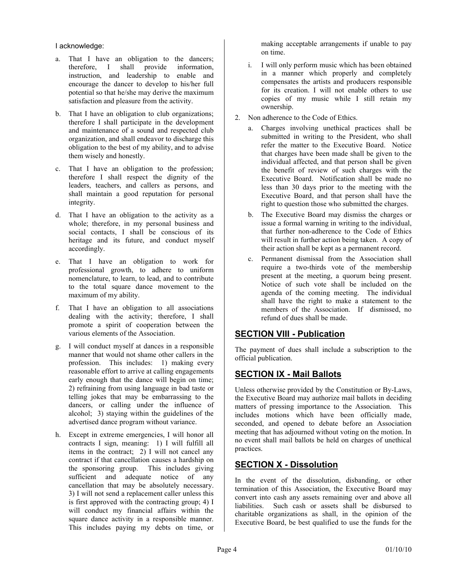I acknowledge:

- a. That I have an obligation to the dancers; therefore, I shall provide information, instruction, and leadership to enable and encourage the dancer to develop to his/her full potential so that he/she may derive the maximum satisfaction and pleasure from the activity.
- b. That I have an obligation to club organizations; therefore I shall participate in the development and maintenance of a sound and respected club organization, and shall endeavor to discharge this obligation to the best of my ability, and to advise them wisely and honestly.
- c. That I have an obligation to the profession; therefore I shall respect the dignity of the leaders, teachers, and callers as persons, and shall maintain a good reputation for personal integrity.
- d. That I have an obligation to the activity as a whole; therefore, in my personal business and social contacts, I shall be conscious of its heritage and its future, and conduct myself accordingly.
- e. That I have an obligation to work for professional growth, to adhere to uniform nomenclature, to learn, to lead, and to contribute to the total square dance movement to the maximum of my ability.
- f. That I have an obligation to all associations dealing with the activity; therefore, I shall promote a spirit of cooperation between the various elements of the Association.
- g. I will conduct myself at dances in a responsible manner that would not shame other callers in the profession. This includes: 1) making every reasonable effort to arrive at calling engagements early enough that the dance will begin on time; 2) refraining from using language in bad taste or telling jokes that may be embarrassing to the dancers, or calling under the influence of alcohol; 3) staying within the guidelines of the advertised dance program without variance.
- h. Except in extreme emergencies, I will honor all contracts I sign, meaning: 1) I will fulfill all items in the contract; 2) I will not cancel any contract if that cancellation causes a hardship on the sponsoring group. This includes giving sufficient and adequate notice of any cancellation that may be absolutely necessary. 3) I will not send a replacement caller unless this is first approved with the contracting group; 4) I will conduct my financial affairs within the square dance activity in a responsible manner. This includes paying my debts on time, or

making acceptable arrangements if unable to pay on time.

- i. I will only perform music which has been obtained in a manner which properly and completely compensates the artists and producers responsible for its creation. I will not enable others to use copies of my music while I still retain my ownership.
- 2. Non adherence to the Code of Ethics.
	- a. Charges involving unethical practices shall be submitted in writing to the President, who shall refer the matter to the Executive Board. Notice that charges have been made shall be given to the individual affected, and that person shall be given the benefit of review of such charges with the Executive Board. Notification shall be made no less than 30 days prior to the meeting with the Executive Board, and that person shall have the right to question those who submitted the charges.
	- b. The Executive Board may dismiss the charges or issue a formal warning in writing to the individual, that further non-adherence to the Code of Ethics will result in further action being taken. A copy of their action shall be kept as a permanent record.
	- c. Permanent dismissal from the Association shall require a two-thirds vote of the membership present at the meeting, a quorum being present. Notice of such vote shall be included on the agenda of the coming meeting. The individual shall have the right to make a statement to the members of the Association. If dismissed, no refund of dues shall be made.

# **SECTION VIII - Publication**

The payment of dues shall include a subscription to the official publication.

# **SECTION IX - Mail Ballots**

Unless otherwise provided by the Constitution or By-Laws, the Executive Board may authorize mail ballots in deciding matters of pressing importance to the Association. This includes motions which have been officially made, seconded, and opened to debate before an Association meeting that has adjourned without voting on the motion. In no event shall mail ballots be held on charges of unethical practices.

# **SECTION X - Dissolution**

In the event of the dissolution, disbanding, or other termination of this Association, the Executive Board may convert into cash any assets remaining over and above all liabilities. Such cash or assets shall be disbursed to charitable organizations as shall, in the opinion of the Executive Board, be best qualified to use the funds for the